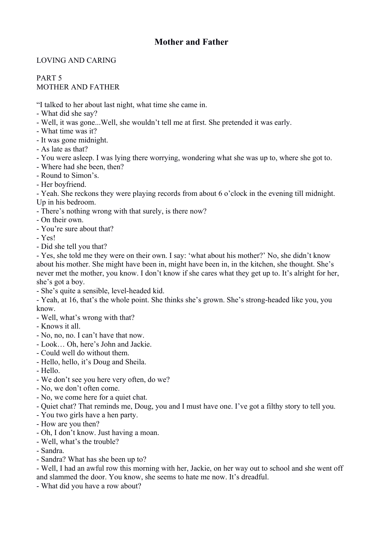## **Mother and Father**

## LOVING AND CARING

## PART 5 MOTHER AND FATHER

"I talked to her about last night, what time she came in.

- What did she say?
- Well, it was gone...Well, she wouldn't tell me at first. She pretended it was early.
- What time was it?
- It was gone midnight.
- As late as that?
- You were asleep. I was lying there worrying, wondering what she was up to, where she got to.
- Where had she been, then?
- Round to Simon's.
- Her boyfriend.

- Yeah. She reckons they were playing records from about 6 o'clock in the evening till midnight. Up in his bedroom.

- There's nothing wrong with that surely, is there now?
- On their own.
- You're sure about that?
- Yes!
- Did she tell you that?

- Yes, she told me they were on their own. I say: 'what about his mother?' No, she didn't know about his mother. She might have been in, might have been in, in the kitchen, she thought. She's never met the mother, you know. I don't know if she cares what they get up to. It's alright for her, she's got a boy.

- She's quite a sensible, level-headed kid.

- Yeah, at 16, that's the whole point. She thinks she's grown. She's strong-headed like you, you know.

- Well, what's wrong with that?
- Knows it all.
- No, no, no. I can't have that now.
- Look… Oh, here's John and Jackie.
- Could well do without them.
- Hello, hello, it's Doug and Sheila.
- Hello.
- We don't see you here very often, do we?
- No, we don't often come.
- No, we come here for a quiet chat.
- Quiet chat? That reminds me, Doug, you and I must have one. I've got a filthy story to tell you.
- You two girls have a hen party.
- How are you then?
- Oh, I don't know. Just having a moan.
- Well, what's the trouble?
- Sandra.
- Sandra? What has she been up to?

- Well, I had an awful row this morning with her, Jackie, on her way out to school and she went off and slammed the door. You know, she seems to hate me now. It's dreadful.

- What did you have a row about?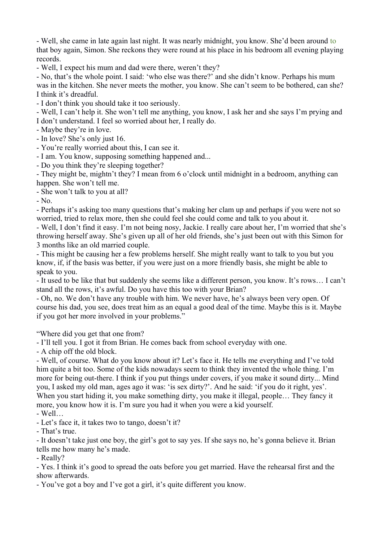- Well, she came in late again last night. It was nearly midnight, you know. She'd been around to that boy again, Simon. She reckons they were round at his place in his bedroom all evening playing records.

- Well, I expect his mum and dad were there, weren't they?

- No, that's the whole point. I said: 'who else was there?' and she didn't know. Perhaps his mum was in the kitchen. She never meets the mother, you know. She can't seem to be bothered, can she? I think it's dreadful.

- I don't think you should take it too seriously.

- Well, I can't help it. She won't tell me anything, you know, I ask her and she says I'm prying and I don't understand. I feel so worried about her, I really do.

- Maybe they're in love.

- In love? She's only just 16.

- You're really worried about this, I can see it.

- I am. You know, supposing something happened and...

- Do you think they're sleeping together?

- They might be, mightn't they? I mean from 6 o'clock until midnight in a bedroom, anything can happen. She won't tell me.

- She won't talk to you at all?

- No.

- Perhaps it's asking too many questions that's making her clam up and perhaps if you were not so worried, tried to relax more, then she could feel she could come and talk to you about it.

- Well, I don't find it easy. I'm not being nosy, Jackie. I really care about her, I'm worried that she's throwing herself away. She's given up all of her old friends, she's just been out with this Simon for 3 months like an old married couple.

- This might be causing her a few problems herself. She might really want to talk to you but you know, if, if the basis was better, if you were just on a more friendly basis, she might be able to speak to you.

- It used to be like that but suddenly she seems like a different person, you know. It's rows… I can't stand all the rows, it's awful. Do you have this too with your Brian?

- Oh, no. We don't have any trouble with him. We never have, he's always been very open. Of course his dad, you see, does treat him as an equal a good deal of the time. Maybe this is it. Maybe if you got her more involved in your problems."

"Where did you get that one from?

- I'll tell you. I got it from Brian. He comes back from school everyday with one.

- A chip off the old block.

- Well, of course. What do you know about it? Let's face it. He tells me everything and I've told him quite a bit too. Some of the kids nowadays seem to think they invented the whole thing. I'm more for being out-there. I think if you put things under covers, if you make it sound dirty... Mind you, I asked my old man, ages ago it was: 'is sex dirty?'. And he said: 'if you do it right, yes'. When you start hiding it, you make something dirty, you make it illegal, people... They fancy it more, you know how it is. I'm sure you had it when you were a kid yourself.

- Well…

- Let's face it, it takes two to tango, doesn't it?

- That's true.

- It doesn't take just one boy, the girl's got to say yes. If she says no, he's gonna believe it. Brian tells me how many he's made.

- Really?

- Yes. I think it's good to spread the oats before you get married. Have the rehearsal first and the show afterwards.

- You've got a boy and I've got a girl, it's quite different you know.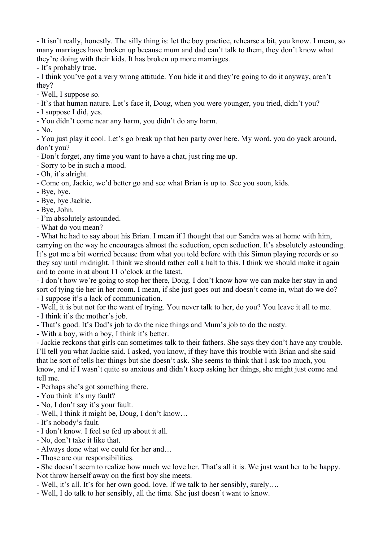- It isn't really, honestly. The silly thing is: let the boy practice, rehearse a bit, you know. I mean, so many marriages have broken up because mum and dad can't talk to them, they don't know what they're doing with their kids. It has broken up more marriages.

- It's probably true.

- I think you've got a very wrong attitude. You hide it and they're going to do it anyway, aren't they?

- Well, I suppose so.
- It's that human nature. Let's face it, Doug, when you were younger, you tried, didn't you?
- I suppose I did, yes.
- You didn't come near any harm, you didn't do any harm.

- No.

- You just play it cool. Let's go break up that hen party over here. My word, you do yack around, don't you?

- Don't forget, any time you want to have a chat, just ring me up.

- Sorry to be in such a mood.

- Oh, it's alright.

- Come on, Jackie, we'd better go and see what Brian is up to. See you soon, kids.

- Bye, bye.
- Bye, bye Jackie.
- Bye, John.
- I'm absolutely astounded.
- What do you mean?

- What he had to say about his Brian. I mean if I thought that our Sandra was at home with him, carrying on the way he encourages almost the seduction, open seduction. It's absolutely astounding. It's got me a bit worried because from what you told before with this Simon playing records or so they say until midnight. I think we should rather call a halt to this. I think we should make it again and to come in at about 11 o'clock at the latest.

- I don't how we're going to stop her there, Doug. I don't know how we can make her stay in and sort of tying tie her in her room. I mean, if she just goes out and doesn't come in, what do we do? - I suppose it's a lack of communication.

- Well, it is but not for the want of trying. You never talk to her, do you? You leave it all to me.

- I think it's the mother's job.
- That's good. It's Dad's job to do the nice things and Mum's job to do the nasty.

- With a boy, with a boy, I think it's better.

- Jackie reckons that girls can sometimes talk to their fathers. She says they don't have any trouble. I'll tell you what Jackie said. I asked, you know, if they have this trouble with Brian and she said that he sort of tells her things but she doesn't ask. She seems to think that I ask too much, you know, and if I wasn't quite so anxious and didn't keep asking her things, she might just come and tell me.

- Perhaps she's got something there.
- You think it's my fault?
- No, I don't say it's your fault.
- Well, I think it might be, Doug, I don't know…
- It's nobody's fault.
- I don't know. I feel so fed up about it all.
- No, don't take it like that.
- Always done what we could for her and…
- Those are our responsibilities.

- She doesn't seem to realize how much we love her. That's all it is. We just want her to be happy. Not throw herself away on the first boy she meets.

- Well, it's all. It's for her own good, love. If we talk to her sensibly, surely….

- Well, I do talk to her sensibly, all the time. She just doesn't want to know.